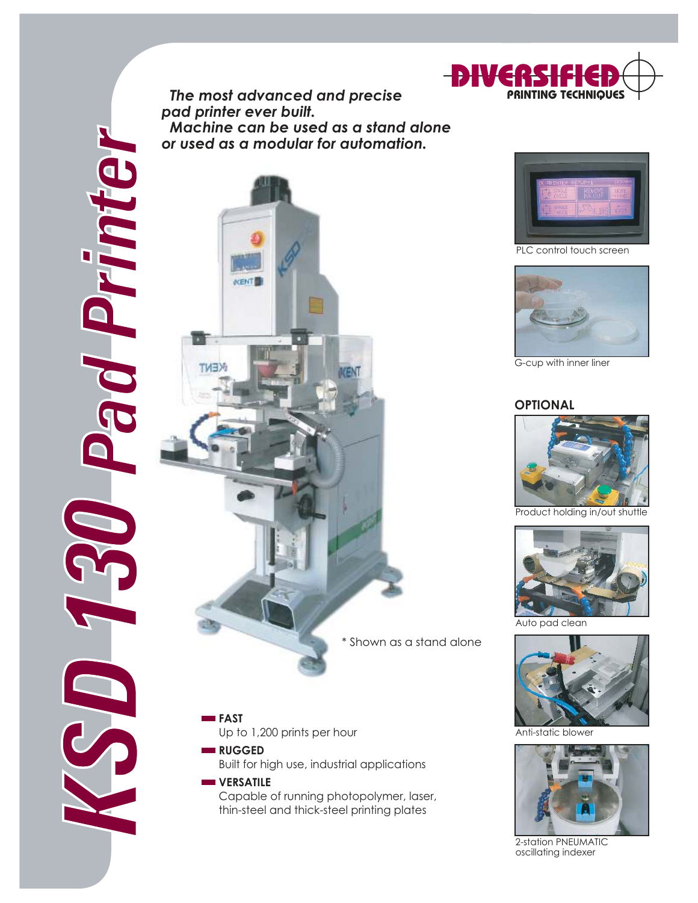KSD 130 Pad Printer  *The most advanced and precise pad printer ever built. Machine can be used as a stand alone or used as a modular for automation.*



**FAST** Up to 1,200 prints per hour **RUGGED** 

S

Built for high use, industrial applications

## **WERSATILE** Capable of running photopolymer, laser, thin-steel and thick-steel printing plates





G-cup with inner liner

## **OPTIONAL**



Product holding in/out shuttle



Auto pad clean



Anti-static blowe



2-station PNEUMATIC oscillating indexer